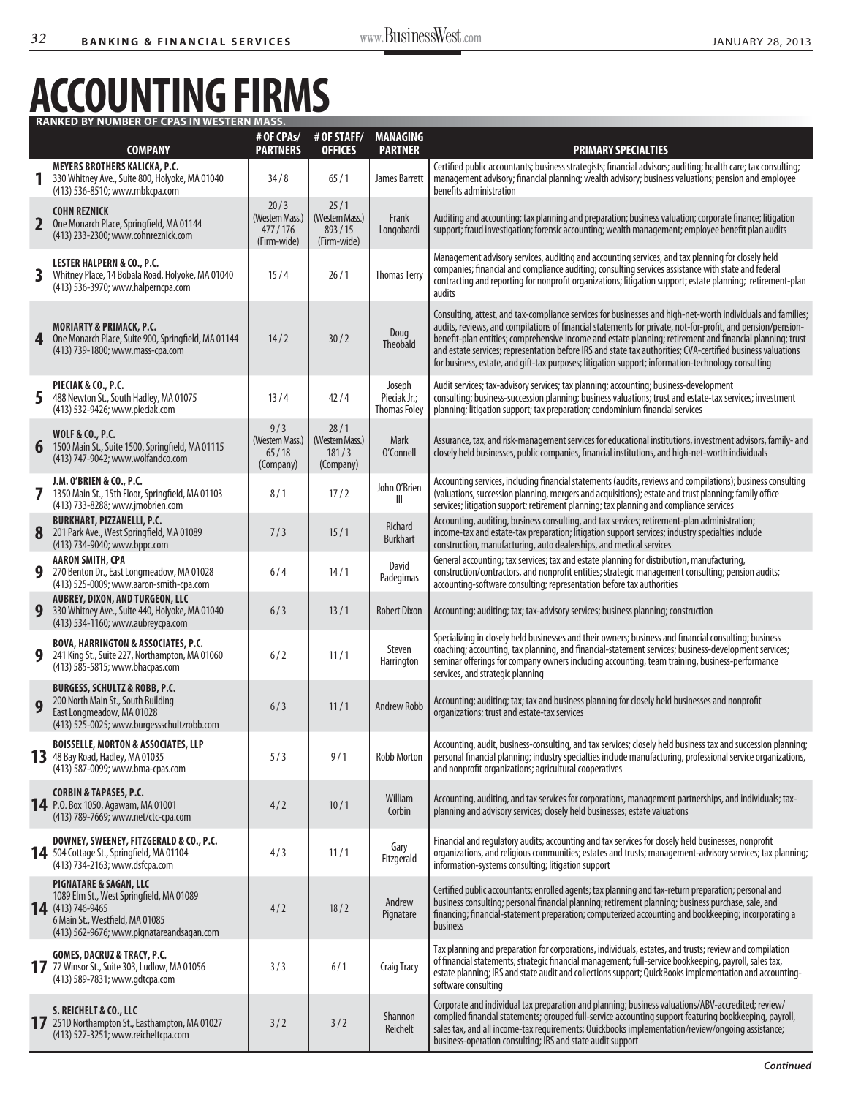## **Accounting Firms Ranked by Number of CPAs in Western Mass.**

|                | <b>COMPANY</b>                                                                                                                                                                     | # OF CPAs/<br><b>PARTNERS</b>                     | # OF STAFF/<br><b>OFFICES</b>                    | <b>MANAGING</b><br><b>PARTNER</b>             | <b>PRIMARY SPECIALTIES</b>                                                                                                                                                                                                                                                                                                                                                                                                                                                                                                                                   |
|----------------|------------------------------------------------------------------------------------------------------------------------------------------------------------------------------------|---------------------------------------------------|--------------------------------------------------|-----------------------------------------------|--------------------------------------------------------------------------------------------------------------------------------------------------------------------------------------------------------------------------------------------------------------------------------------------------------------------------------------------------------------------------------------------------------------------------------------------------------------------------------------------------------------------------------------------------------------|
|                | MEYERS BROTHERS KALICKA, P.C.<br>330 Whitney Ave., Suite 800, Holyoke, MA 01040<br>(413) 536-8510; www.mbkcpa.com                                                                  | 34/8                                              | 65/1                                             | James Barrett                                 | Certified public accountants; business strategists; financial advisors; auditing; health care; tax consulting;<br>management advisory; financial planning; wealth advisory; business valuations; pension and employee<br>benefits administration                                                                                                                                                                                                                                                                                                             |
| $\overline{2}$ | <b>COHN REZNICK</b><br>One Monarch Place, Springfield, MA 01144<br>(413) 233-2300; www.cohnreznick.com                                                                             | 20/3<br>(Western Mass.)<br>477/176<br>(Firm-wide) | 25/1<br>(Western Mass.)<br>893/15<br>(Firm-wide) | Frank<br>Longobardi                           | Auditing and accounting; tax planning and preparation; business valuation; corporate finance; litigation<br>support; fraud investigation; forensic accounting; wealth management; employee benefit plan audits                                                                                                                                                                                                                                                                                                                                               |
| 3              | <b>LESTER HALPERN &amp; CO., P.C.</b><br>Whitney Place, 14 Bobala Road, Holyoke, MA 01040<br>(413) 536-3970; www.halperncpa.com                                                    | 15/4                                              | 26/1                                             | <b>Thomas Terry</b>                           | Management advisory services, auditing and accounting services, and tax planning for closely held<br>companies; financial and compliance auditing; consulting services assistance with state and federal<br>contracting and reporting for nonprofit organizations; litigation support; estate planning; retirement-plan<br>audits                                                                                                                                                                                                                            |
| 4              | <b>MORIARTY &amp; PRIMACK, P.C.</b><br>One Monarch Place, Suite 900, Springfield, MA 01144<br>(413) 739-1800; www.mass-cpa.com                                                     | 14/2                                              | 30/2                                             | Doug<br>Theobald                              | Consulting, attest, and tax-compliance services for businesses and high-net-worth individuals and families;<br>audits, reviews, and compilations of financial statements for private, not-for-profit, and pension/pension-<br>benefit-plan entities; comprehensive income and estate planning; retirement and financial planning; trust<br>and estate services; representation before IRS and state tax authorities; CVA-certified business valuations<br>for business, estate, and gift-tax purposes; litigation support; information-technology consulting |
| 5              | PIECIAK & CO., P.C.<br>488 Newton St., South Hadley, MA 01075<br>(413) 532-9426; www.pieciak.com                                                                                   | 13/4                                              | 42/4                                             | Joseph<br>Pieciak Jr.;<br><b>Thomas Foley</b> | Audit services; tax-advisory services; tax planning; accounting; business-development<br>consulting; business-succession planning; business valuations; trust and estate-tax services; investment<br>planning; litigation support; tax preparation; condominium financial services                                                                                                                                                                                                                                                                           |
| 6              | <b>WOLF &amp; CO., P.C.</b><br>1500 Main St., Suite 1500, Springfield, MA 01115<br>(413) 747-9042; www.wolfandco.com                                                               | 9/3<br>(Western Mass.)<br>65/18<br>(Company)      | 28/1<br>(Western Mass.)<br>181/3<br>(Company)    | Mark<br>O'Connell                             | Assurance, tax, and risk-management services for educational institutions, investment advisors, family- and<br>closely held businesses, public companies, financial institutions, and high-net-worth individuals                                                                                                                                                                                                                                                                                                                                             |
|                | J.M. O'BRIEN & CO., P.C.<br>1350 Main St., 15th Floor, Springfield, MA 01103<br>(413) 733-8288; www.jmobrien.com                                                                   | 8/1                                               | 17/2                                             | John O'Brien<br>Ш                             | Accounting services, including financial statements (audits, reviews and compilations); business consulting<br>(valuations, succession planning, mergers and acquisitions); estate and trust planning; family office<br>services; litigation support; retirement planning; tax planning and compliance services                                                                                                                                                                                                                                              |
| 8              | <b>BURKHART, PIZZANELLI, P.C.</b><br>201 Park Ave., West Springfield, MA 01089<br>(413) 734-9040; www.bppc.com                                                                     | 7/3                                               | 15/1                                             | Richard<br><b>Burkhart</b>                    | Accounting, auditing, business consulting, and tax services; retirement-plan administration;<br>income-tax and estate-tax preparation; litigation support services; industry specialties include<br>construction, manufacturing, auto dealerships, and medical services                                                                                                                                                                                                                                                                                      |
| 9              | <b>AARON SMITH, CPA</b><br>270 Benton Dr., East Longmeadow, MA 01028<br>(413) 525-0009; www.aaron-smith-cpa.com                                                                    | 6/4                                               | 14/1                                             | David<br>Padegimas                            | General accounting; tax services; tax and estate planning for distribution, manufacturing,<br>construction/contractors, and nonprofit entities; strategic management consulting; pension audits;<br>accounting-software consulting; representation before tax authorities                                                                                                                                                                                                                                                                                    |
| 9              | <b>AUBREY, DIXON, AND TURGEON, LLC</b><br>330 Whitney Ave., Suite 440, Holyoke, MA 01040<br>(413) 534-1160; www.aubreycpa.com                                                      | 6/3                                               | 13/1                                             | <b>Robert Dixon</b>                           | Accounting; auditing; tax; tax-advisory services; business planning; construction                                                                                                                                                                                                                                                                                                                                                                                                                                                                            |
| 9              | <b>BOVA, HARRINGTON &amp; ASSOCIATES, P.C.</b><br>241 King St., Suite 227, Northampton, MA 01060<br>(413) 585-5815; www.bhacpas.com                                                | 6/2                                               | 11/1                                             | Steven<br>Harrington                          | Specializing in closely held businesses and their owners; business and financial consulting; business<br>coaching; accounting, tax planning, and financial-statement services; business-development services;<br>seminar offerings for company owners including accounting, team training, business-performance<br>services, and strategic planning                                                                                                                                                                                                          |
| 9              | <b>BURGESS, SCHULTZ &amp; ROBB, P.C.</b><br>200 North Main St., South Building<br>East Longmeadow, MA 01028<br>(413) 525-0025; www.burgessschultzrobb.com                          | 6/3                                               | 11/1                                             | <b>Andrew Robb</b>                            | Accounting; auditing; tax; tax and business planning for closely held businesses and nonprofit<br>organizations; trust and estate-tax services                                                                                                                                                                                                                                                                                                                                                                                                               |
| 13             | <b>BOISSELLE, MORTON &amp; ASSOCIATES, LLP</b><br>48 Bay Road, Hadley, MA 01035<br>(413) 587-0099; www.bma-cpas.com                                                                | 5/3                                               | 9/1                                              | Robb Morton                                   | Accounting, audit, business-consulting, and tax services; closely held business tax and succession planning;<br>personal financial planning; industry specialties include manufacturing, professional service organizations,<br>and nonprofit organizations; agricultural cooperatives                                                                                                                                                                                                                                                                       |
|                | <b>CORBIN &amp; TAPASES, P.C.</b><br>14 P.O. Box 1050, Agawam, MA 01001<br>(413) 789-7669; www.net/ctc-cpa.com                                                                     | 4/2                                               | 10/1                                             | William<br>Corbin                             | Accounting, auditing, and tax services for corporations, management partnerships, and individuals; tax-<br>planning and advisory services; closely held businesses; estate valuations                                                                                                                                                                                                                                                                                                                                                                        |
|                | DOWNEY, SWEENEY, FITZGERALD & CO., P.C.<br>14 504 Cottage St., Springfield, MA 01104<br>(413) 734-2163; www.dsfcpa.com                                                             | 4/3                                               | 11/1                                             | Gary<br>Fitzgerald                            | Financial and regulatory audits; accounting and tax services for closely held businesses, nonprofit<br>organizations, and religious communities; estates and trusts; management-advisory services; tax planning;<br>information-systems consulting; litigation support                                                                                                                                                                                                                                                                                       |
|                | <b>PIGNATARE &amp; SAGAN, LLC</b><br>1089 Elm St., West Springfield, MA 01089<br>14 (413) 746-9465<br>6 Main St., Westfield, MA 01085<br>(413) 562-9676; www.pignatareandsagan.com | 4/2                                               | 18/2                                             | Andrew<br>Pignatare                           | Certified public accountants; enrolled agents; tax planning and tax-return preparation; personal and<br>business consulting; personal financial planning; retirement planning; business purchase, sale, and<br>financing; financial-statement preparation; computerized accounting and bookkeeping; incorporating a<br>business                                                                                                                                                                                                                              |
|                | <b>GOMES, DACRUZ &amp; TRACY, P.C.</b><br>17 77 Winsor St., Suite 303, Ludlow, MA 01056<br>(413) 589-7831; www.gdtcpa.com                                                          | 3/3                                               | 6/1                                              | <b>Craig Tracy</b>                            | Tax planning and preparation for corporations, individuals, estates, and trusts; review and compilation<br>of financial statements; strategic financial management; full-service bookkeeping, payroll, sales tax,<br>estate planning; IRS and state audit and collections support; QuickBooks implementation and accounting-<br>software consulting                                                                                                                                                                                                          |
|                | S. REICHELT & CO., LLC<br>17 251D Northampton St., Easthampton, MA 01027<br>(413) 527-3251; www.reicheltcpa.com                                                                    | 3/2                                               | 3/2                                              | Shannon<br>Reichelt                           | Corporate and individual tax preparation and planning; business valuations/ABV-accredited; review/<br>complied financial statements; grouped full-service accounting support featuring bookkeeping, payroll,<br>sales tax, and all income-tax requirements; Quickbooks implementation/review/ongoing assistance;<br>business-operation consulting; IRS and state audit support                                                                                                                                                                               |